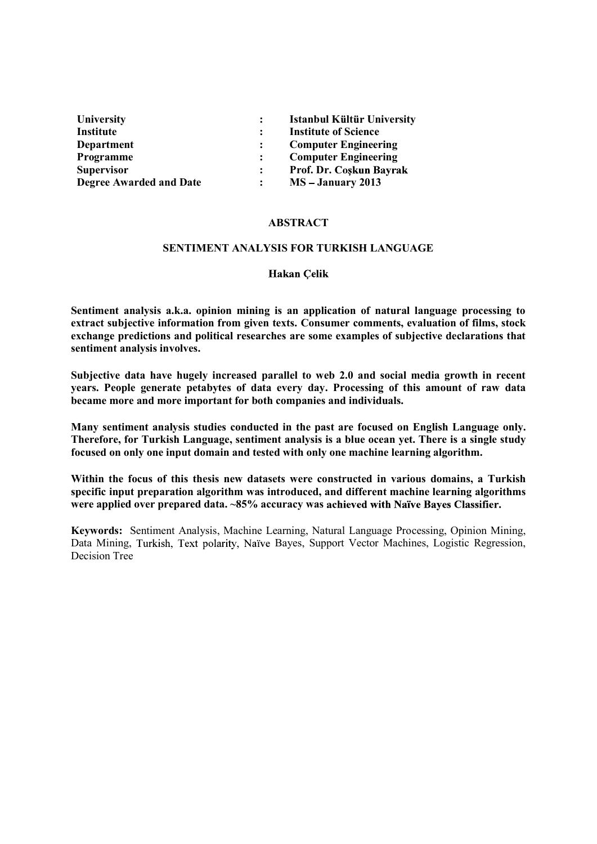| <b>University</b>              | <b>Istanbul Kültür University</b> |
|--------------------------------|-----------------------------------|
| Institute                      | <b>Institute of Science</b>       |
| Department                     | <b>Computer Engineering</b>       |
| <b>Programme</b>               | <b>Computer Engineering</b>       |
| <b>Supervisor</b>              | Prof. Dr. Coskun Bayrak           |
| <b>Degree Awarded and Date</b> | MS – January 2013                 |

### ABSTRACT

### SENTIMENT ANALYSIS FOR TURKISH LANGUAGE

### **Hakan Celik**

Sentiment analysis a.k.a. opinion mining is an application of natural language processing to extract subjective information from given texts. Consumer comments, evaluation of films, stock exchange predictions and political researches are some examples of subjective declarations that sentiment analysis involves.

Subjective data have hugely increased parallel to web 2.0 and social media growth in recent years. People generate petabytes of data every day. Processing of this amount of raw data became more and more important for both companies and individuals.

Many sentiment analysis studies conducted in the past are focused on English Language only. Therefore, for Turkish Language, sentiment analysis is a blue ocean yet. There is a single study focused on only one input domain and tested with only one machine learning algorithm.

Within the focus of this thesis new datasets were constructed in various domains, a Turkish specific input preparation algorithm was introduced, and different machine learning algorithms were applied over prepared data. ~85% accuracy was achieved with Naïve Bayes Classifier.

Keywords: Sentiment Analysis, Machine Learning, Natural Language Processing, Opinion Mining, Data Mining, Turkish, Text polarity, Naïve Bayes, Support Vector Machines, Logistic Regression, Decision Tree